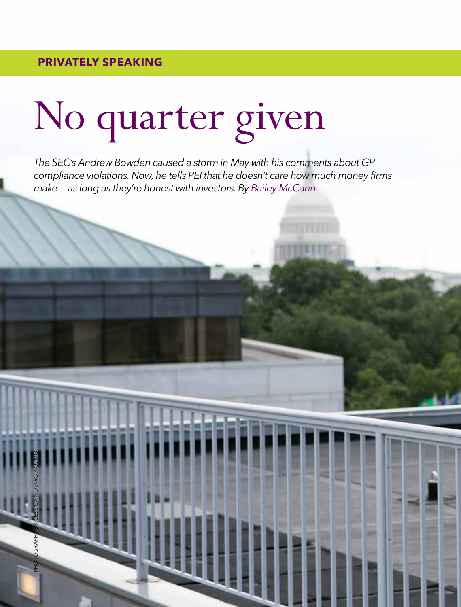PHOTOGRAPHY BY: JESSICA NOTARGIACOMO

## No quarter given

*The SEC's Andrew Bowden caused a storm in May with his comments about GP compliance violations. Now, he tells PEI that he doesn't care how much money firms make — as long as they're honest with investors. By Bailey McCann*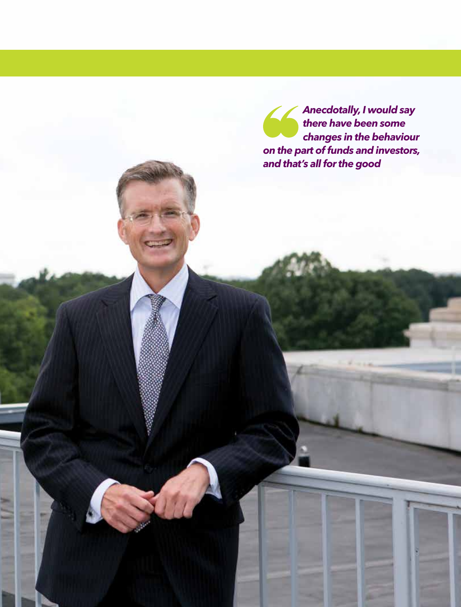*Anecdotally, I would say there have been some changes in the behaviour on the part of funds and investors, and that's all for the good*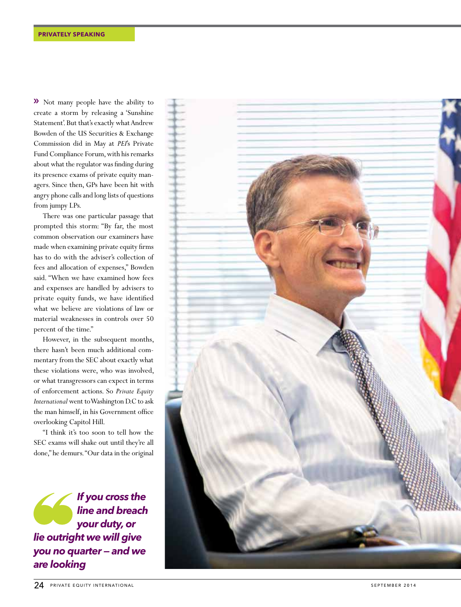**>>** Not many people have the ability to create a storm by releasing a 'Sunshine Statement'. But that's exactly what Andrew Bowden of the US Securities & Exchange Commission did in May at *PEI*'s Private Fund Compliance Forum, with his remarks about what the regulator was finding during its presence exams of private equity man agers. Since then, GPs have been hit with angry phone calls and long lists of questions from jumpy LPs.

There was one particular passage that prompted this storm: "By far, the most common observation our examiners have made when examining private equity firms has to do with the adviser's collection of fees and allocation of expenses," Bowden said. "When we have examined how fees and expenses are handled by advisers to private equity funds, we have identified what we believe are violations of law or material weaknesses in controls over 50 percent of the time."

However, in the subsequent months, there hasn't been much additional com mentary from the SEC about exactly what these violations were, who was involved, or what transgressors can expect in terms of enforcement actions. So *Private Equity International* went to Washington D.C to ask the man himself, in his Government office overlooking Capitol Hill.

"I think it's too soon to tell how the SEC exams will shake out until they're all done," he demurs. "Our data in the original

*If you cross the line and breach your duty, or lie outright we will give you no quarter — and we are looking*

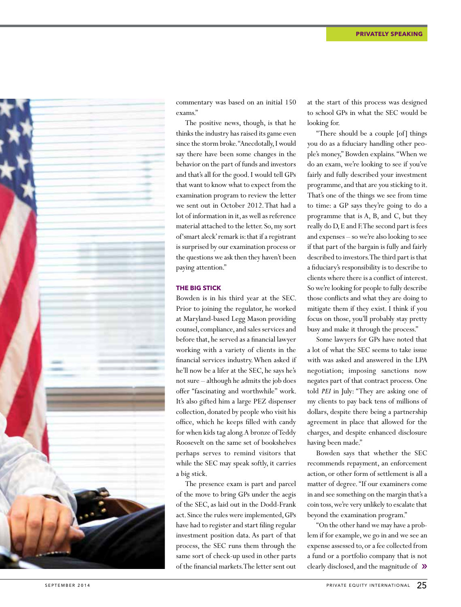

commentary was based on an initial 150 exams."

The positive news, though, is that he thinks the industry has raised its game even since the storm broke. "Anecdotally, I would say there have been some changes in the behavior on the part of funds and investors and that's all for the good. I would tell GPs that want to know what to expect from the examination program to review the letter we sent out in October 2012. That had a lot of information in it, as well as reference material attached to the letter. So, my sort of 'smart aleck' remark is: that if a registrant is surprised by our examination process or the questions we ask then they haven't been paying attention."

## **THE BIG STICK**

Bowden is in his third year at the SEC. Prior to joining the regulator, he worked at Maryland-based Legg Mason providing counsel, compliance, and sales services and before that, he served as a financial lawyer working with a variety of clients in the financial services industry. When asked if he'll now be a lifer at the SEC, he says he's not sure – although he admits the job does offer "fascinating and worthwhile" work. It's also gifted him a large PEZ dispenser collection, donated by people who visit his office, which he keeps filled with candy for when kids tag along. A bronze of Teddy Roosevelt on the same set of bookshelves perhaps serves to remind visitors that while the SEC may speak softly, it carries a big stick.

The presence exam is part and parcel of the move to bring GPs under the aegis of the SEC, as laid out in the Dodd-Frank act. Since the rules were implemented, GPs have had to register and start filing regular investment position data. As part of that process, the SEC runs them through the same sort of check-up used in other parts of the financial markets. The letter sent out

at the start of this process was designed to school GPs in what the SEC would be looking for.

"There should be a couple [of] things you do as a fiduciary handling other people's money," Bowden explains. "When we do an exam, we're looking to see if you've fairly and fully described your investment programme, and that are you sticking to it. That's one of the things we see from time to time: a GP says they're going to do a programme that is A, B, and C, but they really do D, E and F. The second part is fees and expenses – so we're also looking to see if that part of the bargain is fully and fairly described to investors. The third part is that a fiduciary's responsibility is to describe to clients where there is a conflict of interest. So we're looking for people to fully describe those conflicts and what they are doing to mitigate them if they exist. I think if you focus on those, you'll probably stay pretty busy and make it through the process."

Some lawyers for GPs have noted that a lot of what the SEC seems to take issue with was asked and answered in the LPA negotiation; imposing sanctions now negates part of that contract process. One told *PEI* in July: "They are asking one of my clients to pay back tens of millions of dollars, despite there being a partnership agreement in place that allowed for the charges, and despite enhanced disclosure having been made."

Bowden says that whether the SEC recommends repayment, an enforcement action, or other form of settlement is all a matter of degree. "If our examiners come in and see something on the margin that's a coin toss, we're very unlikely to escalate that beyond the examination program."

"On the other hand we may have a problem if for example, we go in and we see an expense assessed to, or a fee collected from a fund or a portfolio company that is not clearly disclosed, and the magnitude of  $\mathcal{D}$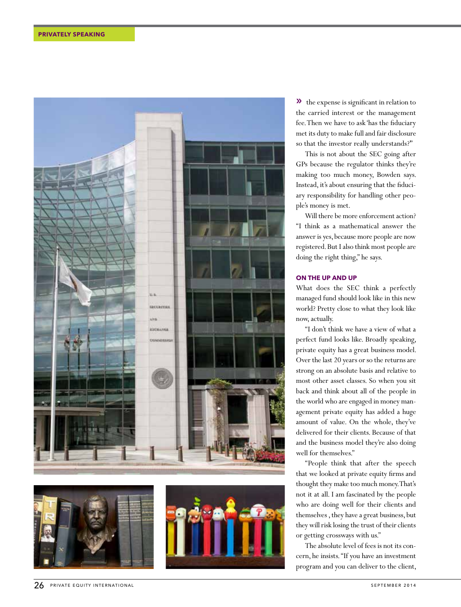



 $\lambda$  the expense is significant in relation to the carried interest or the management fee. Then we have to ask 'has the fiduciary met its duty to make full and fair disclosure so that the investor really understands?'"

This is not about the SEC going after GPs because the regulator thinks they're making too much money, Bowden says. Instead, it's about ensuring that the fiduciary responsibility for handling other people's money is met.

Will there be more enforcement action? "I think as a mathematical answer the answer is yes, because more people are now registered. But I also think most people are doing the right thing," he says.

## **ON THE UP AND UP**

What does the SEC think a perfectly managed fund should look like in this new world? Pretty close to what they look like now, actually.

"I don't think we have a view of what a perfect fund looks like. Broadly speaking, private equity has a great business model. Over the last 20 years or so the returns are strong on an absolute basis and relative to most other asset classes. So when you sit back and think about all of the people in the world who are engaged in money management private equity has added a huge amount of value. On the whole, they've delivered for their clients. Because of that and the business model they're also doing well for themselves."

"People think that after the speech that we looked at private equity firms and thought they make too much money. That's not it at all. I am fascinated by the people who are doing well for their clients and themselves , they have a great business, but they will risk losing the trust of their clients or getting crossways with us."

The absolute level of fees is not its concern, he insists. "If you have an investment program and you can deliver to the client,